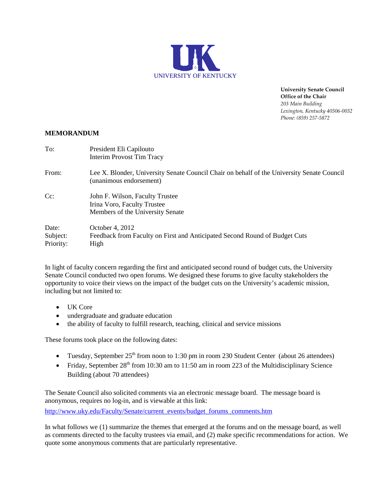

**University Senate Council Office of the Chair** *203 Main Building Lexington, Kentucky 40506-0032 Phone: (859) 257-5872*

## **MEMORANDUM**

| To:                            | President Eli Capilouto<br><b>Interim Provost Tim Tracy</b>                                                           |
|--------------------------------|-----------------------------------------------------------------------------------------------------------------------|
| From:                          | Lee X. Blonder, University Senate Council Chair on behalf of the University Senate Council<br>(unanimous endorsement) |
| $Cc$ :                         | John F. Wilson, Faculty Trustee<br>Irina Voro, Faculty Trustee<br>Members of the University Senate                    |
| Date:<br>Subject:<br>Priority: | October 4, 2012<br>Feedback from Faculty on First and Anticipated Second Round of Budget Cuts<br>High                 |

In light of faculty concern regarding the first and anticipated second round of budget cuts, the University Senate Council conducted two open forums. We designed these forums to give faculty stakeholders the opportunity to voice their views on the impact of the budget cuts on the University's academic mission, including but not limited to:

- UK Core
- undergraduate and graduate education
- the ability of faculty to fulfill research, teaching, clinical and service missions

These forums took place on the following dates:

- Tuesday, September  $25<sup>th</sup>$  from noon to 1:30 pm in room 230 Student Center (about 26 attendees)
- Friday, September  $28<sup>th</sup>$  from 10:30 am to 11:50 am in room 223 of the Multidisciplinary Science Building (about 70 attendees)

The Senate Council also solicited comments via an electronic message board. The message board is anonymous, requires no log-in, and is viewable at this link:

[http://www.uky.edu/Faculty/Senate/current\\_events/budget\\_forums\\_comments.htm](http://www.uky.edu/Faculty/Senate/current_events/budget_forums_comments.htm)

In what follows we (1) summarize the themes that emerged at the forums and on the message board, as well as comments directed to the faculty trustees via email, and (2) make specific recommendations for action. We quote some anonymous comments that are particularly representative.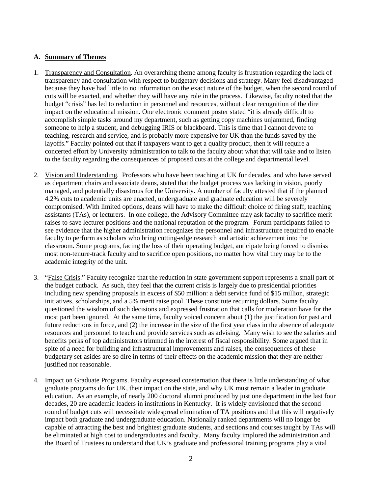## **A. Summary of Themes**

- 1. Transparency and Consultation. An overarching theme among faculty is frustration regarding the lack of transparency and consultation with respect to budgetary decisions and strategy. Many feel disadvantaged because they have had little to no information on the exact nature of the budget, when the second round of cuts will be exacted, and whether they will have any role in the process. Likewise, faculty noted that the budget "crisis" has led to reduction in personnel and resources, without clear recognition of the dire impact on the educational mission. One electronic comment poster stated "it is already difficult to accomplish simple tasks around my department, such as getting copy machines unjammed, finding someone to help a student, and debugging IRIS or blackboard. This is time that I cannot devote to teaching, research and service, and is probably more expensive for UK than the funds saved by the layoffs." Faculty pointed out that if taxpayers want to get a quality product, then it will require a concerted effort by University administration to talk to the faculty about what that will take and to listen to the faculty regarding the consequences of proposed cuts at the college and departmental level.
- 2. Vision and Understanding. Professors who have been teaching at UK for decades, and who have served as department chairs and associate deans, stated that the budget process was lacking in vision, poorly managed, and potentially disastrous for the University. A number of faculty attested that if the planned 4.2% cuts to academic units are enacted, undergraduate and graduate education will be severely compromised. With limited options, deans will have to make the difficult choice of firing staff, teaching assistants (TAs), or lecturers. In one college, the Advisory Committee may ask faculty to sacrifice merit raises to save lecturer positions and the national reputation of the program. Forum participants failed to see evidence that the higher administration recognizes the personnel and infrastructure required to enable faculty to perform as scholars who bring cutting-edge research and artistic achievement into the classroom. Some programs, facing the loss of their operating budget, anticipate being forced to dismiss most non-tenure-track faculty and to sacrifice open positions, no matter how vital they may be to the academic integrity of the unit.
- 3. "False Crisis." Faculty recognize that the reduction in state government support represents a small part of the budget cutback. As such, they feel that the current crisis is largely due to presidential priorities including new spending proposals in excess of \$50 million: a debt service fund of \$15 million, strategic initiatives, scholarships, and a 5% merit raise pool. These constitute recurring dollars. Some faculty questioned the wisdom of such decisions and expressed frustration that calls for moderation have for the most part been ignored. At the same time, faculty voiced concern about (1) the justification for past and future reductions in force, and (2) the increase in the size of the first year class in the absence of adequate resources and personnel to teach and provide services such as advising. Many wish to see the salaries and benefits perks of top administrators trimmed in the interest of fiscal responsibility. Some argued that in spite of a need for building and infrastructural improvements and raises, the consequences of these budgetary set-asides are so dire in terms of their effects on the academic mission that they are neither justified nor reasonable.
- 4. Impact on Graduate Programs. Faculty expressed consternation that there is little understanding of what graduate programs do for UK, their impact on the state, and why UK must remain a leader in graduate education. As an example, of nearly 200 doctoral alumni produced by just one department in the last four decades, 20 are academic leaders in institutions in Kentucky. It is widely envisioned that the second round of budget cuts will necessitate widespread elimination of TA positions and that this will negatively impact both graduate and undergraduate education. Nationally ranked departments will no longer be capable of attracting the best and brightest graduate students, and sections and courses taught by TAs will be eliminated at high cost to undergraduates and faculty. Many faculty implored the administration and the Board of Trustees to understand that UK's graduate and professional training programs play a vital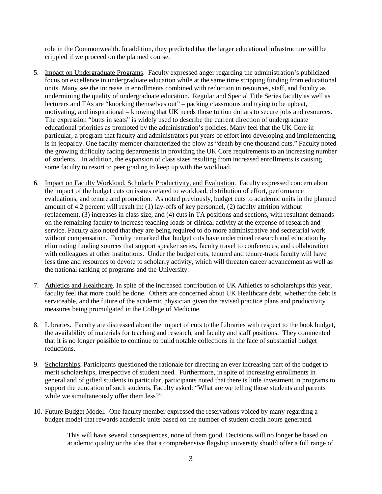role in the Commonwealth. In addition, they predicted that the larger educational infrastructure will be crippled if we proceed on the planned course.

- 5. Impact on Undergraduate Programs. Faculty expressed anger regarding the administration's publicized focus on excellence in undergraduate education while at the same time stripping funding from educational units. Many see the increase in enrollments combined with reduction in resources, staff, and faculty as undermining the quality of undergraduate education. Regular and Special Title Series faculty as well as lecturers and TAs are "knocking themselves out" – packing classrooms and trying to be upbeat, motivating, and inspirational – knowing that UK needs those tuition dollars to secure jobs and resources. The expression "butts in seats" is widely used to describe the current direction of undergraduate educational priorities as promoted by the administration's policies. Many feel that the UK Core in particular, a program that faculty and administrators put years of effort into developing and implementing, is in jeopardy. One faculty member characterized the blow as "death by one thousand cuts." Faculty noted the growing difficulty facing departments in providing the UK Core requirements to an increasing number of students. In addition, the expansion of class sizes resulting from increased enrollments is causing some faculty to resort to peer grading to keep up with the workload.
- 6. Impact on Faculty Workload, Scholarly Productivity, and Evaluation. Faculty expressed concern about the impact of the budget cuts on issues related to workload, distribution of effort, performance evaluations, and tenure and promotion. As noted previously, budget cuts to academic units in the planned amount of 4.2 percent will result in: (1) lay-offs of key personnel, (2) faculty attrition without replacement, (3) increases in class size, and (4) cuts in TA positions and sections, with resultant demands on the remaining faculty to increase teaching loads or clinical activity at the expense of research and service. Faculty also noted that they are being required to do more administrative and secretarial work without compensation. Faculty remarked that budget cuts have undermined research and education by eliminating funding sources that support speaker series, faculty travel to conferences, and collaboration with colleagues at other institutions. Under the budget cuts, tenured and tenure-track faculty will have less time and resources to devote to scholarly activity, which will threaten career advancement as well as the national ranking of programs and the University.
- 7. Athletics and Healthcare. In spite of the increased contribution of UK Athletics to scholarships this year, faculty feel that more could be done. Others are concerned about UK Healthcare debt, whether the debt is serviceable, and the future of the academic physician given the revised practice plans and productivity measures being promulgated in the College of Medicine.
- 8. Libraries. Faculty are distressed about the impact of cuts to the Libraries with respect to the book budget, the availability of materials for teaching and research, and faculty and staff positions. They commented that it is no longer possible to continue to build notable collections in the face of substantial budget reductions.
- 9. Scholarships. Participants questioned the rationale for directing an ever increasing part of the budget to merit scholarships, irrespective of student need. Furthermore, in spite of increasing enrollments in general and of gifted students in particular, participants noted that there is little investment in programs to support the education of such students. Faculty asked: "What are we telling those students and parents while we simultaneously offer them less?"
- 10. Future Budget Model. One faculty member expressed the reservations voiced by many regarding a budget model that rewards academic units based on the number of student credit hours generated.

This will have several consequences, none of them good. Decisions will no longer be based on academic quality or the idea that a comprehensive flagship university should offer a full range of